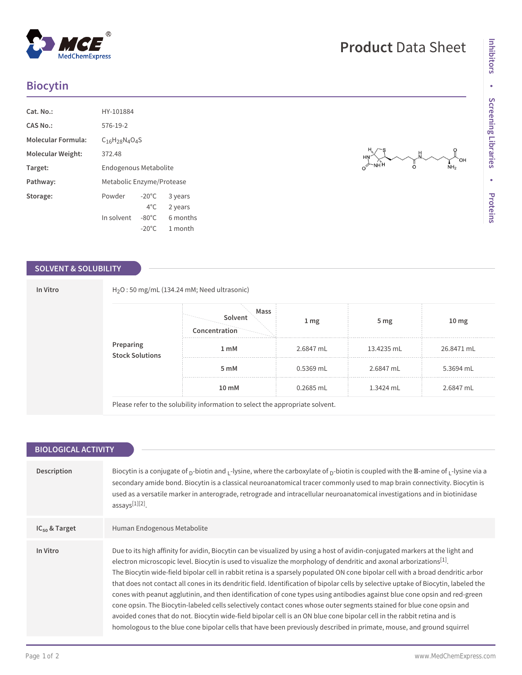## **Biocytin**

**MedChemExpress** 

| Cat. No.:                 | HY-101884                 |                 |          |
|---------------------------|---------------------------|-----------------|----------|
| CAS No.:                  | 576-19-2                  |                 |          |
| <b>Molecular Formula:</b> | $C_{16}H_{28}N_{4}O_{4}S$ |                 |          |
| Molecular Weight:         | 372.48                    |                 |          |
| Target:                   | Endogenous Metabolite     |                 |          |
| Pathway:                  | Metabolic Enzyme/Protease |                 |          |
| Storage:                  | Powder                    | $-20^{\circ}$ C | 3 years  |
|                           |                           | $4^{\circ}$ C.  | 2 years  |
|                           | In solvent                | $-80^{\circ}$ C | 6 months |
|                           |                           | $-20^{\circ}$ C | 1 month  |

### **SOLVENT & SOLUBILITY**

### **In Vitro** H2O : 50 mg/mL (134.24 mM; Need ultrasonic) **Concentration Solvent Mass 1 mg 5 mg 10 mg 1 mM** 2.6847 mL 13.4235 mL 26.8471 mL **5 mM** 0.5369 mL 2.6847 mL 5.3694 mL **Preparing Stock Solutions 10 mM** 0.2685 mL 1.3424 mL 2.6847 mL

Please refer to the solubility information to select the appropriate solvent.

| <b>BIOLOGICAL ACTIVITY</b> |                                                                                                                                                                                                                                                                                                                                                                                                                                                                                                                                                                                                                                                                                                                                                                                                                                                                                                                                                                                                                                              |  |
|----------------------------|----------------------------------------------------------------------------------------------------------------------------------------------------------------------------------------------------------------------------------------------------------------------------------------------------------------------------------------------------------------------------------------------------------------------------------------------------------------------------------------------------------------------------------------------------------------------------------------------------------------------------------------------------------------------------------------------------------------------------------------------------------------------------------------------------------------------------------------------------------------------------------------------------------------------------------------------------------------------------------------------------------------------------------------------|--|
|                            |                                                                                                                                                                                                                                                                                                                                                                                                                                                                                                                                                                                                                                                                                                                                                                                                                                                                                                                                                                                                                                              |  |
| Description                | Biocytin is a conjugate of $p$ -biotin and $p$ -lysine, where the carboxylate of $p$ -biotin is coupled with the $\mathbb{Z}$ -amine of $p$ -lysine via a<br>secondary amide bond. Biocytin is a classical neuroanatomical tracer commonly used to map brain connectivity. Biocytin is<br>used as a versatile marker in anterograde, retrograde and intracellular neuroanatomical investigations and in biotinidase<br>assays[1][2].                                                                                                                                                                                                                                                                                                                                                                                                                                                                                                                                                                                                         |  |
| $IC_{50}$ & Target         | Human Endogenous Metabolite                                                                                                                                                                                                                                                                                                                                                                                                                                                                                                                                                                                                                                                                                                                                                                                                                                                                                                                                                                                                                  |  |
| In Vitro                   | Due to its high affinity for avidin, Biocytin can be visualized by using a host of avidin-conjugated markers at the light and<br>electron microscopic level. Biocytin is used to visualize the morphology of dendritic and axonal arborizations $[1]$ .<br>The Biocytin wide-field bipolar cell in rabbit retina is a sparsely populated ON cone bipolar cell with a broad dendritic arbor<br>that does not contact all cones in its dendritic field. Identification of bipolar cells by selective uptake of Biocytin, labeled the<br>cones with peanut agglutinin, and then identification of cone types using antibodies against blue cone opsin and red-green<br>cone opsin. The Biocytin-labeled cells selectively contact cones whose outer segments stained for blue cone opsin and<br>avoided cones that do not. Biocytin wide-field bipolar cell is an ON blue cone bipolar cell in the rabbit retina and is<br>homologous to the blue cone bipolar cells that have been previously described in primate, mouse, and ground squirrel |  |

# **Product** Data Sheet

OH ∎<br>NH2